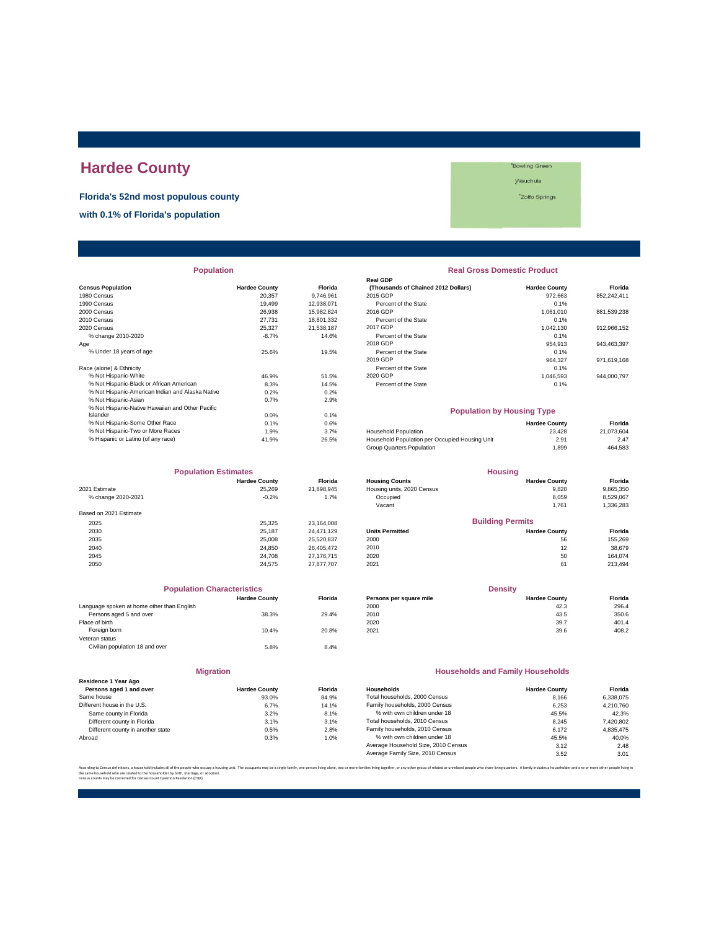# **Hardee County**

**Florida's 52nd most populous county**

**with 0.1% of Florida's population**

#### **Bowling Green** Wauchula

\*Zolfo Springs

| <b>Population</b>                                |                      |                | <b>Real Gross Domestic Product</b>             |                      |             |  |
|--------------------------------------------------|----------------------|----------------|------------------------------------------------|----------------------|-------------|--|
|                                                  |                      |                | <b>Real GDP</b>                                |                      |             |  |
| <b>Census Population</b>                         | <b>Hardee County</b> | <b>Florida</b> | (Thousands of Chained 2012 Dollars)            | <b>Hardee County</b> | Florida     |  |
| 1980 Census                                      | 20,357               | 9,746,961      | 2015 GDP                                       | 972,663              | 852,242,411 |  |
| 1990 Census                                      | 19.499               | 12,938,071     | Percent of the State                           | 0.1%                 |             |  |
| 2000 Census                                      | 26,938               | 15,982,824     | 2016 GDP                                       | 1,061,010            | 881,539,238 |  |
| 2010 Census                                      | 27,731               | 18,801,332     | Percent of the State                           | 0.1%                 |             |  |
| 2020 Census                                      | 25,327               | 21,538,187     | 2017 GDP                                       | 1,042,130            | 912,966,152 |  |
| % change 2010-2020                               | $-8.7%$              | 14.6%          | Percent of the State                           | 0.1%                 |             |  |
| Age                                              |                      |                | 2018 GDP                                       | 954,913              | 943,463,397 |  |
| % Under 18 years of age                          | 25.6%                | 19.5%          | Percent of the State                           | 0.1%                 |             |  |
|                                                  |                      |                | 2019 GDP                                       | 964,327              | 971,619,168 |  |
| Race (alone) & Ethnicity                         |                      |                | Percent of the State                           | 0.1%                 |             |  |
| % Not Hispanic-White                             | 46.9%                | 51.5%          | 2020 GDP                                       | 1,046,593            | 944,000,797 |  |
| % Not Hispanic-Black or African American         | 8.3%                 | 14.5%          | Percent of the State                           | 0.1%                 |             |  |
| % Not Hispanic-American Indian and Alaska Native | 0.2%                 | 0.2%           |                                                |                      |             |  |
| % Not Hispanic-Asian                             | 0.7%                 | 2.9%           |                                                |                      |             |  |
| % Not Hispanic-Native Hawaiian and Other Pacific |                      |                | <b>Population by Housing Type</b>              |                      |             |  |
| Islander                                         | 0.0%                 | 0.1%           |                                                |                      |             |  |
| % Not Hispanic-Some Other Race                   | 0.1%                 | 0.6%           |                                                | <b>Hardee County</b> | Florida     |  |
| % Not Hispanic-Two or More Races                 | 1.9%                 | 3.7%           | Household Population                           | 23.428               | 21,073,604  |  |
| % Hispanic or Latino (of any race)               | 41.9%                | 26.5%          | Household Population per Occupied Housing Unit | 2.91                 | 2.47        |  |

| <b>Population Estimates</b> |                      | <b>Housing</b> |                            |                         |           |
|-----------------------------|----------------------|----------------|----------------------------|-------------------------|-----------|
|                             | <b>Hardee County</b> | <b>Florida</b> | <b>Housing Counts</b>      | <b>Hardee County</b>    | Florida   |
| 2021 Estimate               | 25,269               | 21,898,945     | Housing units, 2020 Census | 9,820                   | 9,865,350 |
| % change 2020-2021          | $-0.2%$              | 1.7%           | Occupied                   | 8.059                   | 8,529,067 |
|                             |                      |                | Vacant                     | 1,761                   | 1,336,283 |
| Based on 2021 Estimate      |                      |                |                            |                         |           |
| 2025                        | 25.325               | 23,164,008     |                            | <b>Building Permits</b> |           |
| 2030                        | 25.187               | 24.471.129     | <b>Units Permitted</b>     | <b>Hardee County</b>    | Florida   |
| 2035                        | 25,008               | 25,520,837     | 2000                       | 56                      | 155,269   |
| 2040                        | 24.850               | 26.405.472     | 2010                       | 12                      | 38,679    |
| 2045                        | 24,708               | 27,176,715     | 2020                       | 50                      | 164.074   |
| 2050                        | 24.575               | 27,877,707     | 2021                       | 61                      | 213,494   |

| <b>Population Characteristics</b>          |                      |                |
|--------------------------------------------|----------------------|----------------|
|                                            | <b>Hardee County</b> | <b>Florida</b> |
| Language spoken at home other than English |                      |                |
| Persons aged 5 and over                    | 38.3%                | 29.4%          |
| Place of birth                             |                      |                |
| Foreign born                               | 10.4%                | 20.8%          |
| Veteran status                             |                      |                |
| Civilian population 18 and over            | 5.8%                 | 8.4%           |
|                                            |                      |                |
|                                            |                      |                |

| <b>Hardee County</b> | <b>Florid</b>    |
|----------------------|------------------|
| 93.0%                | 84.99            |
| 6.7%                 | 14.19            |
| 3.2%                 | 8.1 <sup>°</sup> |
| 3.1%                 | 3.1 <sup>6</sup> |
| 0.5%                 | 2.8 <sup>c</sup> |
| 0.3%                 | 1.0 <sup>6</sup> |
|                      |                  |

**Migration**

| <b>Population</b>                                |                      |                | <b>Real Gross Domestic Product</b>  |                      |             |  |
|--------------------------------------------------|----------------------|----------------|-------------------------------------|----------------------|-------------|--|
|                                                  |                      |                | <b>Real GDP</b>                     |                      |             |  |
| sus Population                                   | <b>Hardee County</b> | <b>Florida</b> | (Thousands of Chained 2012 Dollars) | <b>Hardee County</b> | Florida     |  |
| 0 Census                                         | 20.357               | 9.746.961      | 2015 GDP                            | 972,663              | 852,242,411 |  |
| 0 Census                                         | 19.499               | 12.938.071     | Percent of the State                | 0.1%                 |             |  |
| 0 Census                                         | 26,938               | 15.982.824     | 2016 GDP                            | 1,061,010            | 881,539,238 |  |
| 0 Census                                         | 27.731               | 18,801,332     | Percent of the State                | 0.1%                 |             |  |
| 0 Census                                         | 25.327               | 21.538.187     | 2017 GDP                            | 1.042.130            | 912,966,152 |  |
| % change 2010-2020                               | $-8.7%$              | 14.6%          | Percent of the State                | 0.1%                 |             |  |
|                                                  |                      |                | 2018 GDP                            | 954.913              | 943.463.397 |  |
| % Under 18 years of age                          | 25.6%                | 19.5%          | Percent of the State                | 0.1%                 |             |  |
|                                                  |                      |                | 2019 GDP                            | 964.327              | 971,619,168 |  |
| e (alone) & Ethnicity                            |                      |                | Percent of the State                | 0.1%                 |             |  |
| % Not Hispanic-White                             | 46.9%                | 51.5%          | 2020 GDP                            | 1.046.593            | 944.000.797 |  |
| % Not Hispanic-Black or African American         | 8.3%                 | 14.5%          | Percent of the State                | 0.1%                 |             |  |
| % Not Hispanic-American Indian and Alaska Native | 0.2%                 | 0.2%           |                                     |                      |             |  |

#### **Population by Housing Type**

| % Not Hispanic-Some Other Race     | 0.1%  | 0.6%    |                                                | <b>Hardee County</b> | Florida    |
|------------------------------------|-------|---------|------------------------------------------------|----------------------|------------|
| % Not Hispanic-Two or More Races   | 1.9%  | $3.7\%$ | Household Population                           | 23.428               | 21.073.604 |
| % Hispanic or Latino (of any race) | 41.9% | 26.5%   | Household Population per Occupied Housing Unit | 2.91                 | 2.47       |
|                                    |       |         | Group Quarters Population                      | .899                 | 464.583    |

| <b>Population Estimates</b> |                      |                | <b>Housing</b>             |                         |           |
|-----------------------------|----------------------|----------------|----------------------------|-------------------------|-----------|
|                             | <b>Hardee County</b> | <b>Florida</b> | <b>Housing Counts</b>      | <b>Hardee County</b>    | Florida   |
| 2021 Estimate               | 25.269               | 21.898.945     | Housing units, 2020 Census | 9.820                   | 9,865,350 |
| % change 2020-2021          | $-0.2%$              | 1.7%           | Occupied                   | 8,059                   | 8,529,067 |
|                             |                      |                | Vacant                     | 1,761                   | 1,336,283 |
| Based on 2021 Estimate      |                      |                |                            |                         |           |
| 2025                        | 25.325               | 23.164.008     |                            | <b>Building Permits</b> |           |
| 2030                        | 25.187               | 24.471.129     | <b>Units Permitted</b>     | <b>Hardee County</b>    | Florida   |
| 2035                        | 25,008               | 25,520,837     | 2000                       | 56                      | 155,269   |
| 2040                        | 24,850               | 26,405,472     | 2010                       | 12                      | 38,679    |
| 2045                        | 24 708               | 27 176 715     | 2020                       | 50                      | 164 074   |

| <b>Population Characteristics</b> |                |                         | <b>Density</b>       |         |  |
|-----------------------------------|----------------|-------------------------|----------------------|---------|--|
| <b>Hardee County</b>              | <b>Florida</b> | Persons per square mile | <b>Hardee County</b> | Florida |  |
|                                   |                | 2000                    | 42.3                 | 296.4   |  |
| 38.3%                             | 29.4%          | 2010                    | 43.5                 | 350.6   |  |
|                                   |                | 2020                    | 39.7                 | 401.4   |  |
| 10.4%                             | 20.8%          | 2021                    | 39.6                 | 408.2   |  |
|                                   |                |                         |                      |         |  |

#### **Households and Family Households**

| <b>Hardee County</b> | <b>Florida</b> | Households                          | <b>Hardee County</b> | Florida   |
|----------------------|----------------|-------------------------------------|----------------------|-----------|
| 93.0%                | 84.9%          | Total households, 2000 Census       | 8.166                | 6.338.075 |
| 6.7%                 | 14.1%          | Family households, 2000 Census      | 6.253                | 4.210.760 |
| 3.2%                 | 8.1%           | % with own children under 18        | 45.5%                | 42.3%     |
| 3.1%                 | 3.1%           | Total households, 2010 Census       | 8.245                | 7,420,802 |
| 0.5%                 | 2.8%           | Family households, 2010 Census      | 6.172                | 4.835.475 |
| 0.3%                 | 1.0%           | % with own children under 18        | 45.5%                | 40.0%     |
|                      |                | Average Household Size, 2010 Census | 3.12                 | 2.48      |
|                      |                | Average Family Size, 2010 Census    | 3.52                 | 3.01      |
|                      |                |                                     |                      |           |

n living alone, two or more families living together, or any other group of related or unrelated people who share living quarters. A family includes a householder and one or more other people l the same household who are related to the householder by birth, marriage, or adoption. Census counts may be corrected for Census Count Question Resolution (CQR).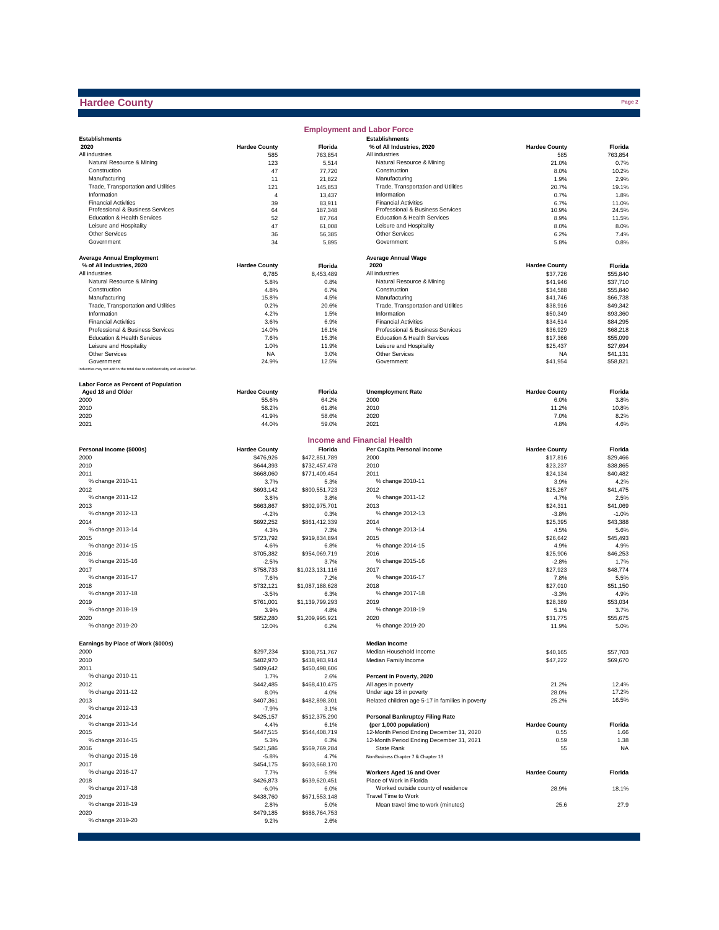## **Hardee County**

|                                                                              |                      |                       | <b>Employment and Labor Force</b>                  |                      |               |
|------------------------------------------------------------------------------|----------------------|-----------------------|----------------------------------------------------|----------------------|---------------|
| <b>Establishments</b>                                                        |                      |                       | <b>Establishments</b>                              |                      |               |
| 2020                                                                         | <b>Hardee County</b> | Florida               | % of All Industries, 2020                          | <b>Hardee County</b> | Florida       |
| All industries                                                               | 585                  | 763,854               | All industries                                     | 585                  | 763,854       |
| Natural Resource & Mining                                                    | 123                  | 5,514                 | Natural Resource & Mining                          | 21.0%                | 0.7%          |
| Construction                                                                 | 47                   | 77,720                | Construction                                       | 8.0%                 | 10.2%         |
| Manufacturing                                                                | 11                   | 21,822                | Manufacturing                                      | 1.9%                 | 2.9%          |
| Trade, Transportation and Utilities<br>Information                           | 121                  | 145,853               | Trade, Transportation and Utilities<br>Information | 20.7%                | 19.1%         |
| <b>Financial Activities</b>                                                  | 4<br>39              | 13,437<br>83,911      | <b>Financial Activities</b>                        | 0.7%<br>6.7%         | 1.8%<br>11.0% |
| Professional & Business Services                                             | 64                   | 187,348               | Professional & Business Services                   | 10.9%                | 24.5%         |
| Education & Health Services                                                  | 52                   | 87,764                | Education & Health Services                        | 8.9%                 | 11.5%         |
| Leisure and Hospitality                                                      | 47                   | 61,008                | Leisure and Hospitality                            | 8.0%                 | 8.0%          |
| Other Services                                                               | 36                   | 56,385                | <b>Other Services</b>                              | 6.2%                 | 7.4%          |
| Government                                                                   | 34                   | 5,895                 | Government                                         | 5.8%                 | 0.8%          |
|                                                                              |                      |                       |                                                    |                      |               |
| <b>Average Annual Employment</b>                                             |                      |                       | <b>Average Annual Wage</b>                         |                      |               |
| % of All Industries, 2020                                                    | <b>Hardee County</b> | Florida               | 2020                                               | <b>Hardee County</b> | Florida       |
| All industries                                                               | 6,785                | 8,453,489             | All industries                                     | \$37,726             | \$55,840      |
| Natural Resource & Mining                                                    | 5.8%                 | 0.8%                  | Natural Resource & Mining                          | \$41,946             | \$37,710      |
| Construction                                                                 | 4.8%                 | 6.7%                  | Construction                                       | \$34,588             | \$55,840      |
| Manufacturing                                                                | 15.8%                | 4.5%                  | Manufacturing                                      | \$41,746             | \$66,738      |
| Trade, Transportation and Utilities                                          | 0.2%                 | 20.6%                 | Trade, Transportation and Utilities                | \$38,916             | \$49,342      |
| Information                                                                  | 4.2%                 | 1.5%                  | Information                                        | \$50,349             | \$93,360      |
| <b>Financial Activities</b>                                                  | 3.6%                 | 6.9%                  | <b>Financial Activities</b>                        | \$34,514             | \$84,295      |
| Professional & Business Services                                             | 14.0%                | 16.1%                 | Professional & Business Services                   | \$36,929             | \$68,218      |
| Education & Health Services                                                  | 7.6%                 | 15.3%                 | Education & Health Services                        | \$17,366             | \$55,099      |
| Leisure and Hospitality                                                      | 1.0%                 | 11.9%                 | Leisure and Hospitality                            | \$25,437             | \$27,694      |
| <b>Other Services</b>                                                        | <b>NA</b>            | 3.0%                  | Other Services                                     | <b>NA</b>            | \$41,131      |
| Government                                                                   | 24.9%                | 12.5%                 | Government                                         | \$41,954             | \$58,821      |
| Industries may not add to the total due to confidentiality and unclassified. |                      |                       |                                                    |                      |               |
| Labor Force as Percent of Population                                         |                      |                       |                                                    |                      |               |
| Aged 18 and Older                                                            | <b>Hardee County</b> | Florida               | <b>Unemployment Rate</b>                           | <b>Hardee County</b> | Florida       |
| 2000                                                                         | 55.6%                | 64.2%                 | 2000                                               | 6.0%                 | 3.8%          |
| 2010                                                                         | 58.2%                | 61.8%                 | 2010                                               | 11.2%                | 10.8%         |
| 2020                                                                         | 41.9%                | 58.6%                 | 2020                                               | 7.0%                 | 8.2%          |
| 2021                                                                         | 44.0%                | 59.0%                 | 2021                                               | 4.8%                 | 4.6%          |
|                                                                              |                      |                       |                                                    |                      |               |
|                                                                              |                      |                       | <b>Income and Financial Health</b>                 |                      |               |
| Personal Income (\$000s)                                                     | <b>Hardee County</b> | Florida               | Per Capita Personal Income                         | <b>Hardee County</b> | Florida       |
| 2000                                                                         | \$476.926            | \$472,851,789         | 2000                                               | \$17,816             | \$29,466      |
| 2010                                                                         | \$644,393            | \$732,457,478         | 2010                                               | \$23,237             | \$38,865      |
| 2011                                                                         | \$668,060            | \$771,409,454         | 2011                                               | \$24,134             | \$40,482      |
| % change 2010-11                                                             | 3.7%                 | 5.3%                  | % change 2010-11                                   | 3.9%                 | 4.2%          |
| 2012                                                                         | \$693,142            | \$800,551,723         | 2012                                               | \$25,267             | \$41,475      |
| % change 2011-12                                                             | 3.8%                 | 3.8%                  | % change 2011-12                                   | 4.7%                 | 2.5%          |
| 2013                                                                         | \$663,867            | \$802,975,701         | 2013                                               | \$24,311             | \$41,069      |
| % change 2012-13                                                             | $-4.2%$              | 0.3%                  | % change 2012-13                                   | $-3.8%$              | $-1.0%$       |
| 2014                                                                         | \$692,252            | \$861,412,339         | 2014                                               | \$25,395             | \$43,388      |
| % change 2013-14                                                             | 4.3%                 | 7.3%                  | % change 2013-14                                   | 4.5%                 | 5.6%          |
| 2015                                                                         | \$723,792            | \$919,834,894         | 2015                                               | \$26,642             | \$45,493      |
| % change 2014-15                                                             | 4.6%                 | 6.8%                  | % change 2014-15                                   | 4.9%                 | 4.9%          |
| 2016                                                                         | \$705,382            | \$954,069,719         | 2016                                               | \$25,906             | \$46,253      |
| % change 2015-16                                                             | $-2.5%$              | 3.7%                  | % change 2015-16                                   | $-2.8%$              | 1.7%          |
| 2017                                                                         | \$758,733            | \$1,023,131,116       | 2017                                               | \$27,923             | \$48,774      |
| % change 2016-17                                                             | 7.6%                 | 7.2%                  | % change 2016-17                                   | 7.8%                 | 5.5%          |
| 2018                                                                         | \$732.121            | \$1,087,188,628       | 2018                                               | \$27,010             | \$51.150      |
| % change 2017-18                                                             | $-3.5%$              | 6.3%                  | % change 2017-18                                   | $-3.3%$              | 4.9%          |
| 2019                                                                         | \$761.001            | \$1,139,799,293       | 2019                                               | \$28,389             | \$53,034      |
| % change 2018-19                                                             | 3.9%                 | 4.8%                  | % change 2018-19                                   | 5.1%                 | 3.7%          |
| 2020                                                                         | \$852,280            | \$1,209,995,921       | 2020                                               | \$31,775             | \$55,675      |
| % change 2019-20                                                             | 12.0%                | 6.2%                  | % change 2019-20                                   | 11.9%                | 5.0%          |
|                                                                              |                      |                       |                                                    |                      |               |
| Earnings by Place of Work (\$000s)                                           |                      |                       | <b>Median Income</b>                               |                      |               |
| 2000                                                                         | \$297,234            | \$308,751,767         | Median Household Income                            | \$40,165             | \$57,703      |
| 2010                                                                         | \$402,970            | \$438,983,914         | Median Family Income                               | \$47,222             | \$69,670      |
| 2011                                                                         | \$409,642            | \$450,498,606         |                                                    |                      |               |
| % change 2010-11                                                             | 1.7%                 | 2.6%                  | Percent in Poverty, 2020                           |                      |               |
| 2012                                                                         | \$442,485            | \$468,410,475         | All ages in poverty                                | 21.2%                | 12.4%         |
| % change 2011-12                                                             | 8.0%                 | 4.0%                  | Under age 18 in poverty                            | 28.0%                | 17.2%         |
| 2013                                                                         | \$407,361            | \$482,898,301         | Related children age 5-17 in families in poverty   | 25.2%                | 16.5%         |
| % change 2012-13                                                             | $-7.9%$              | 3.1%                  |                                                    |                      |               |
| 2014                                                                         | \$425,157            | \$512,375,290         | <b>Personal Bankruptcy Filing Rate</b>             |                      |               |
| % change 2013-14                                                             | 4.4%                 | 6.1%                  | (per 1,000 population)                             | <b>Hardee County</b> | Florida       |
| 2015                                                                         | \$447,515            | \$544,408,719         | 12-Month Period Ending December 31, 2020           | 0.55                 | 1.66          |
| % change 2014-15                                                             | 5.3%                 | 6.3%                  | 12-Month Period Ending December 31, 2021           | 0.59                 | 1.38          |
| 2016                                                                         | \$421,586            | \$569,769,284         | State Rank                                         | 55                   | <b>NA</b>     |
| % change 2015-16                                                             | $-5.8%$              | 4.7%                  | NonBusiness Chapter 7 & Chapter 13                 |                      |               |
| 2017<br>% change 2016-17                                                     | \$454,175            | \$603,668,170         | Workers Aged 16 and Over                           | <b>Hardee County</b> |               |
|                                                                              | 7.7%                 | 5.9%                  | Place of Work in Florida                           |                      | Florida       |
| 2018<br>% change 2017-18                                                     | \$426,873<br>$-6.0%$ | \$639,620,451<br>6.0% | Worked outside county of residence                 | 28.9%                | 18.1%         |
| 2019                                                                         |                      |                       | Travel Time to Work                                |                      |               |
| % change 2018-19                                                             | \$438,760            | \$671,553,148         | Mean travel time to work (minutes)                 | 25.6                 | 27.9          |
| 2020                                                                         | 2.8%<br>\$479,185    | 5.0%<br>\$688,764,753 |                                                    |                      |               |
| % change 2019-20                                                             | 9.2%                 | 2.6%                  |                                                    |                      |               |
|                                                                              |                      |                       |                                                    |                      |               |